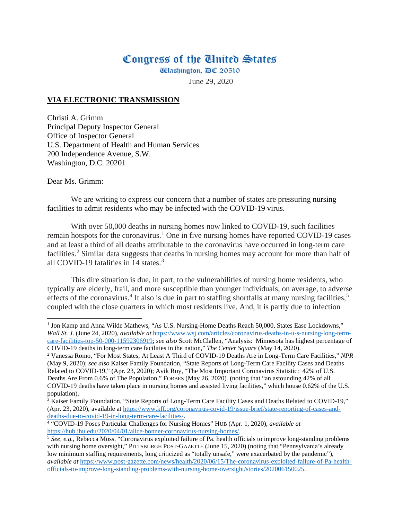## Congress of the Ginited States

**Washington, DC 20510** 

June 29, 2020

## **VIA ELECTRONIC TRANSMISSION**

Christi A. Grimm Principal Deputy Inspector General Office of Inspector General U.S. Department of Health and Human Services 200 Independence Avenue, S.W. Washington, D.C. 20201

Dear Ms. Grimm:

 $\overline{\phantom{a}}$ 

We are writing to express our concern that a number of states are pressuring nursing facilities to admit residents who may be infected with the COVID-19 virus.

With over 50,000 deaths in nursing homes now linked to COVID-19, such facilities remain hotspots for the coronavirus.<sup>[1](#page-0-0)</sup> One in five nursing homes have reported COVID-19 cases and at least a third of all deaths attributable to the coronavirus have occurred in long-term care facilities. [2](#page-0-1) Similar data suggests that deaths in nursing homes may account for more than half of all COVID-19 fatalities in 14 states.<sup>[3](#page-0-2)</sup>

This dire situation is due, in part, to the vulnerabilities of nursing home residents, who typically are elderly, frail, and more susceptible than younger individuals, on average, to adverse effects of the coronavirus.<sup>[4](#page-0-3)</sup> It also is due in part to staffing shortfalls at many nursing facilities,<sup>[5](#page-0-4)</sup> coupled with the close quarters in which most residents live. And, it is partly due to infection

<span id="page-0-0"></span><sup>&</sup>lt;sup>1</sup> Jon Kamp and Anna Wilde Mathews, "As U.S. Nursing-Home Deaths Reach 50,000, States Ease Lockdowns," *Wall St. J.* (June 24, 2020), *available at* [https://www.wsj.com/articles/coronavirus-deaths-in-u-s-nursing-long-term](https://www.wsj.com/articles/coronavirus-deaths-in-u-s-nursing-long-term-care-facilities-top-50-000-11592306919)[care-facilities-top-50-000-11592306919;](https://www.wsj.com/articles/coronavirus-deaths-in-u-s-nursing-long-term-care-facilities-top-50-000-11592306919) *see also* Scott McClallen, "Analysis: Minnesota has highest percentage of

<span id="page-0-1"></span>COVID-19 deaths in long-term care facilities in the nation," *The Center Square* (May 14, 2020). 2 Vanessa Romo, "For Most States, At Least A Third of COVID-19 Deaths Are in Long-Term Care Facilities," *NPR*  (May 9, 2020); *see also* Kaiser Family Foundation, "State Reports of Long-Term Care Facility Cases and Deaths Related to COVID-19," (Apr. 23, 2020); Avik Roy, "The Most Important Coronavirus Statistic: 42% of U.S. Deaths Are From 0.6% of The Population," FORBES (May 26, 2020) (noting that "an astounding 42% of all COVID-19 deaths have taken place in nursing homes and assisted living facilities," which house 0.62% of the U.S. population).

<span id="page-0-2"></span><sup>&</sup>lt;sup>3</sup> Kaiser Family Foundation, "State Reports of Long-Term Care Facility Cases and Deaths Related to COVID-19," (Apr. 23, 2020), available at https://www.kff.org/coronavirus-covid-19/issue-brief/state-reporting-of-cases-and-<br>deaths-due-to-covid-19-in-long-term-care-facilities/.

<span id="page-0-3"></span><sup>&</sup>lt;sup>4</sup> "COVID-19 Poses Particular Challenges for Nursing Homes" HUB (Apr. 1, 2020), *available at* https://hub.jhu.edu/2020/04/01/alice-bonner-coronavirus-nursing-homes/.

<span id="page-0-4"></span><sup>&</sup>lt;sup>5</sup> See, e.g., Rebecca Moss, "Coronavirus exploited failure of Pa. health officials to improve long-standing problems with nursing home oversight," PITTSBURGH POST-GAZETTE (June 15, 2020) (noting that "Pennsylvania's already low minimum staffing requirements, long criticized as "totally unsafe," were exacerbated by the pandemic"), *available at* [https://www.post-gazette.com/news/health/2020/06/15/The-coronavirus-exploited-failure-of-Pa-health](https://www.post-gazette.com/news/health/2020/06/15/The-coronavirus-exploited-failure-of-Pa-health-officials-to-improve-long-standing-problems-with-nursing-home-oversight/stories/202006150025)[officials-to-improve-long-standing-problems-with-nursing-home-oversight/stories/202006150025.](https://www.post-gazette.com/news/health/2020/06/15/The-coronavirus-exploited-failure-of-Pa-health-officials-to-improve-long-standing-problems-with-nursing-home-oversight/stories/202006150025)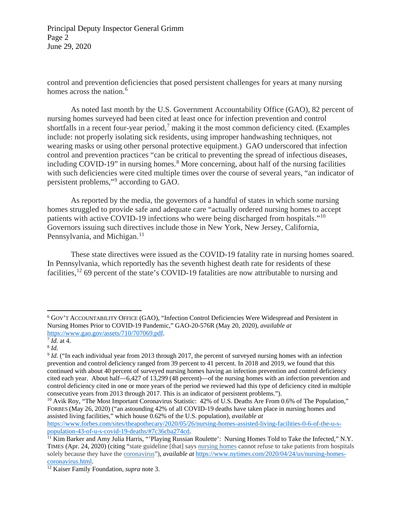Principal Deputy Inspector General Grimm Page 2 June 29, 2020

control and prevention deficiencies that posed persistent challenges for years at many nursing homes across the nation.<sup>[6](#page-1-0)</sup>

As noted last month by the U.S. Government Accountability Office (GAO), 82 percent of nursing homes surveyed had been cited at least once for infection prevention and control shortfalls in a recent four-year period, [7](#page-1-1) making it the most common deficiency cited. (Examples include: not properly isolating sick residents, using improper handwashing techniques, not wearing masks or using other personal protective equipment.) GAO underscored that infection control and prevention practices "can be critical to preventing the spread of infectious diseases, including COVID-19" in nursing homes.<sup>[8](#page-1-2)</sup> More concerning, about half of the nursing facilities with such deficiencies were cited multiple times over the course of several years, "an indicator of persistent problems,"[9](#page-1-3) according to GAO.

As reported by the media, the governors of a handful of states in which some nursing homes struggled to provide safe and adequate care "actually ordered nursing homes to accept patients with active COVID-19 infections who were being discharged from hospitals."[10](#page-1-4) Governors issuing such directives include those in New York, New Jersey, California, Pennsylvania, and Michigan.<sup>[11](#page-1-5)</sup>

These state directives were issued as the COVID-19 fatality rate in nursing homes soared. In Pennsylvania, which reportedly has the seventh highest death rate for residents of these facilities,<sup>[12](#page-1-6)</sup> 69 percent of the state's COVID-19 fatalities are now attributable to nursing and

 $\overline{a}$ 

[https://www.forbes.com/sites/theapothecary/2020/05/26/nursing-homes-assisted-living-facilities-0-6-of-the-u-s](https://www.forbes.com/sites/theapothecary/2020/05/26/nursing-homes-assisted-living-facilities-0-6-of-the-u-s-population-43-of-u-s-covid-19-deaths/#7c36cba274cd)[population-43-of-u-s-covid-19-deaths/#7c36cba274cd.](https://www.forbes.com/sites/theapothecary/2020/05/26/nursing-homes-assisted-living-facilities-0-6-of-the-u-s-population-43-of-u-s-covid-19-deaths/#7c36cba274cd)

<span id="page-1-0"></span><sup>6</sup> GOV'T ACCOUNTABILITY OFFICE (GAO), "Infection Control Deficiencies Were Widespread and Persistent in Nursing Homes Prior to COVID-19 Pandemic," GAO-20-576R (May 20, 2020), *available at* [https://www.gao.gov/assets/710/707069.pdf.](https://www.gao.gov/assets/710/707069.pdf)

<span id="page-1-1"></span> $^7$  *Id.* at 4.

<span id="page-1-2"></span><sup>8</sup> *Id.*

<span id="page-1-3"></span><sup>&</sup>lt;sup>9</sup> *Id.* ("In each individual year from 2013 through 2017, the percent of surveyed nursing homes with an infection prevention and control deficiency ranged from 39 percent to 41 percent. In 2018 and 2019, we found that this continued with about 40 percent of surveyed nursing homes having an infection prevention and control deficiency cited each year. About half—6,427 of 13,299 (48 percent)—of the nursing homes with an infection prevention and control deficiency cited in one or more years of the period we reviewed had this type of deficiency cited in multiple consecutive years from 2013 through 2017. This is an indicator of persistent problems.").

<span id="page-1-4"></span><sup>&</sup>lt;sup>10</sup> Avik Roy, "The Most Important Coronavirus Statistic: 42% of U.S. Deaths Are From 0.6% of The Population," FORBES (May 26, 2020) ("an astounding 42% of all COVID-19 deaths have taken place in nursing homes and assisted living facilities," which house 0.62% of the U.S. population), *available at* 

<span id="page-1-5"></span><sup>&</sup>lt;sup>11</sup> Kim Barker and Amy Julia Harris, "'Playing Russian Roulette': Nursing Homes Told to Take the Infected," N.Y. TIMES (Apr. 24, 2020) (citing "state guideline [that] says [nursing](https://www.nytimes.com/2020/05/07/business/coronavirus-nursing-homes.html) homes cannot refuse to take patients from hospitals solely because they have the [coronavirus"](https://www.nytimes.com/2020/05/07/business/coronavirus-nursing-homes.html)), *available at* [https://www.nytimes.com/2020/04/24/us/nursing-homes](https://www.nytimes.com/2020/04/24/us/nursing-homes-coronavirus.html)[coronavirus.html.](https://www.nytimes.com/2020/04/24/us/nursing-homes-coronavirus.html)

<span id="page-1-6"></span><sup>12</sup> Kaiser Family Foundation, *supra* note 3.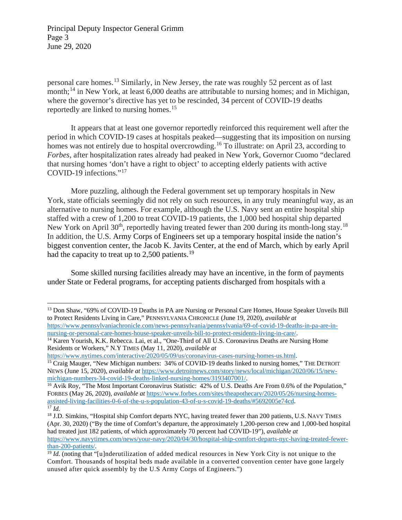Principal Deputy Inspector General Grimm Page 3 June 29, 2020

 $\overline{\phantom{a}}$ 

personal care homes. [13](#page-2-0) Similarly, in New Jersey, the rate was roughly 52 percent as of last month;<sup>[14](#page-2-1)</sup> in New York, at least 6,000 deaths are attributable to nursing homes; and in Michigan, where the governor's directive has yet to be rescinded, 34 percent of COVID-19 deaths reportedly are linked to nursing homes. [15](#page-2-2)

It appears that at least one governor reportedly reinforced this requirement well after the period in which COVID-19 cases at hospitals peaked—suggesting that its imposition on nursing homes was not entirely due to hospital overcrowding.<sup>[16](#page-2-3)</sup> To illustrate: on April 23, according to *Forbes,* after hospitalization rates already had peaked in New York, Governor Cuomo "declared that nursing homes 'don't have a right to object' to accepting elderly patients with active COVID-19 infections."[17](#page-2-4)

More puzzling, although the Federal government set up temporary hospitals in New York, state officials seemingly did not rely on such resources, in any truly meaningful way, as an alternative to nursing homes. For example, although the U.S. Navy sent an entire hospital ship staffed with a crew of 1,200 to treat COVID-19 patients, the 1,000 bed hospital ship departed New York on April  $30<sup>th</sup>$ , reportedly having treated fewer than 200 during its month-long stay.<sup>18</sup> In addition, the U.S. Army Corps of Engineers set up a temporary hospital inside the nation's biggest convention center, the Jacob K. Javits Center, at the end of March, which by early April had the capacity to treat up to 2,500 patients.<sup>[19](#page-2-6)</sup>

Some skilled nursing facilities already may have an incentive, in the form of payments under State or Federal programs, for accepting patients discharged from hospitals with a

<span id="page-2-0"></span><sup>&</sup>lt;sup>13</sup> Don Shaw, "69% of COVID-19 Deaths in PA are Nursing or Personal Care Homes, House Speaker Unveils Bill to Protect Residents Living in Care," PENNSYLVANIA CHRONICLE (June 19, 2020), *available at*  [https://www.pennsylvaniachronicle.com/news-pennsylvania/pennsylvania/69-of-covid-19-deaths-in-pa-are-in](https://www.pennsylvaniachronicle.com/news-pennsylvania/pennsylvania/69-of-covid-19-deaths-in-pa-are-in-nursing-or-personal-care-homes-house-speaker-unveils-bill-to-protect-residents-living-in-care/)[nursing-or-personal-care-homes-house-speaker-unveils-bill-to-protect-residents-living-in-care/.](https://www.pennsylvaniachronicle.com/news-pennsylvania/pennsylvania/69-of-covid-19-deaths-in-pa-are-in-nursing-or-personal-care-homes-house-speaker-unveils-bill-to-protect-residents-living-in-care/)

<span id="page-2-1"></span><sup>&</sup>lt;sup>14</sup> Karen Yourish, K.K. Rebecca. Lai, et al., "One-Third of All U.S. Coronavirus Deaths are Nursing Home Residents or Workers," N.Y TIMES (May 11, 2020), *available at*

<span id="page-2-2"></span>[https://www.nytimes.com/interactive/2020/05/09/us/coronavirus-cases-nursing-homes-us.html.](https://www.nytimes.com/interactive/2020/05/09/us/coronavirus-cases-nursing-homes-us.html) <sup>15</sup> Craig Mauger, "New Michigan numbers: 34% of COVID-19 deaths linked to nursing homes," THE DETROIT NEWS (June 15, 2020), *available at* [https://www.detroitnews.com/story/news/local/michigan/2020/06/15/new](https://www.detroitnews.com/story/news/local/michigan/2020/06/15/new-michigan-numbers-34-covid-19-deaths-linked-nursing-homes/3193407001/)[michigan-numbers-34-covid-19-deaths-linked-nursing-homes/3193407001/.](https://www.detroitnews.com/story/news/local/michigan/2020/06/15/new-michigan-numbers-34-covid-19-deaths-linked-nursing-homes/3193407001/)

<span id="page-2-3"></span><sup>&</sup>lt;sup>16</sup> Avik Roy, "The Most Important Coronavirus Statistic: 42% of U.S. Deaths Are From 0.6% of the Population," FORBES (May 26, 2020), *available at* [https://www.forbes.com/sites/theapothecary/2020/05/26/nursing-homes](https://www.forbes.com/sites/theapothecary/2020/05/26/nursing-homes-assisted-living-facilities-0-6-of-the-u-s-population-43-of-u-s-covid-19-deaths/#5692005e74cd)[assisted-living-facilities-0-6-of-the-u-s-population-43-of-u-s-covid-19-deaths/#5692005e74cd.](https://www.forbes.com/sites/theapothecary/2020/05/26/nursing-homes-assisted-living-facilities-0-6-of-the-u-s-population-43-of-u-s-covid-19-deaths/#5692005e74cd)  $\overline{17}$  *Id.* 

<span id="page-2-5"></span><span id="page-2-4"></span><sup>&</sup>lt;sup>18</sup> J.D. Simkins, "Hospital ship Comfort departs NYC, having treated fewer than 200 patients, U.S. NAVY TIMES (Apr. 30, 2020) ("By the time of Comfort's departure, the approximately 1,200-person crew and 1,000-bed hospital had treated just 182 patients, of which approximately 70 percent had COVID-19"), *available at* [https://www.navytimes.com/news/your-navy/2020/04/30/hospital-ship-comfort-departs-nyc-having-treated-fewer](https://www.navytimes.com/news/your-navy/2020/04/30/hospital-ship-comfort-departs-nyc-having-treated-fewer-than-200-patients/)[than-200-patients/.](https://www.navytimes.com/news/your-navy/2020/04/30/hospital-ship-comfort-departs-nyc-having-treated-fewer-than-200-patients/)

<span id="page-2-6"></span><sup>&</sup>lt;sup>19</sup> *Id.* (noting that "[u]nderutilization of added medical resources in New York City is not unique to the Comfort. Thousands of hospital beds made available in a converted convention center have gone largely unused after quick assembly by the U.S Army Corps of Engineers.")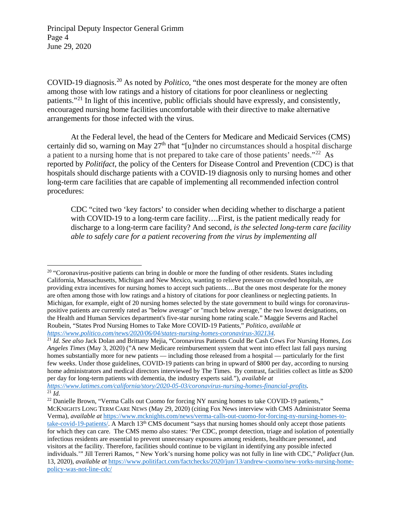Principal Deputy Inspector General Grimm Page 4 June 29, 2020

COVID-19 diagnosis. [20](#page-3-0) As noted by *Politico,* "the ones most desperate for the money are often among those with low ratings and a history of citations for poor cleanliness or neglecting patients."[21](#page-3-1) In light of this incentive, public officials should have expressly, and consistently, encouraged nursing home facilities uncomfortable with their directive to make alternative arrangements for those infected with the virus.

At the Federal level, the head of the Centers for Medicare and Medicaid Services (CMS) certainly did so, warning on May  $27<sup>th</sup>$  that "[u]nder no circumstances should a hospital discharge a patient to a nursing home that is not prepared to take care of those patients' needs."[22](#page-3-2) As reported by *Politifact*, the policy of the Centers for Disease Control and Prevention (CDC) is that hospitals should discharge patients with a COVID-19 diagnosis only to nursing homes and other long-term care facilities that are capable of implementing all recommended infection control procedures:

CDC "cited two 'key factors' to consider when deciding whether to discharge a patient with COVID-19 to a long-term care facility….First, is the patient medically ready for discharge to a long-term care facility? And second, *is the selected long-term care facility able to safely care for a patient recovering from the virus by implementing all* 

*[https://www.latimes.com/california/story/2020-05-03/coronavirus-nursing-homes-financial-profits.](https://www.latimes.com/california/story/2020-05-03/coronavirus-nursing-homes-financial-profits)*  $\overline{^{21}Id}$ .

<span id="page-3-0"></span> $\overline{a}$  $20$  "Coronavirus-positive patients can bring in double or more the funding of other residents. States including California, Massachusetts, Michigan and New Mexico, wanting to relieve pressure on crowded hospitals, are providing extra incentives for nursing homes to accept such patients….But the ones most desperate for the money are often among those with low ratings and a history of citations for poor cleanliness or neglecting patients. In Michigan, for example, eight of 20 nursing homes selected by the state government to build wings for coronaviruspositive patients are currently rated as "below average" or "much below average," the two lowest designations, on the Health and Human Services department's five-star nursing home rating scale.[" Maggie Severns and Rachel](https://www.politico.com/staff/maggie-severns)  [Roubein, "](https://www.politico.com/staff/maggie-severns)States Prod Nursing Homes to Take More COVID-19 Patients," *Politico, available at [https://www.politico.com/news/2020/06/04/states-nursing-homes-coronavirus-302134.](https://www.politico.com/news/2020/06/04/states-nursing-homes-coronavirus-302134)*

<span id="page-3-1"></span><sup>21</sup> *Id. See also* Jack Dolan and Brittany Mejia, "Coronavirus Patients Could Be Cash Cows For Nursing Homes, *Los Angeles Times* (May 3, 2020) ("A new Medicare reimbursement system that went into effect last fall pays nursing homes substantially more for new patients — including those released from a hospital — particularly for the first few weeks. Under those guidelines, COVID-19 patients can bring in upward of \$800 per day, according to nursing home administrators and medical directors interviewed by The Times. By contrast, facilities collect as little as \$200 per day for long-term patients with dementia, the industry experts said.")*, available at* 

<span id="page-3-2"></span><sup>&</sup>lt;sup>22</sup> Danielle Brown, "Verma Calls out Cuomo for forcing NY nursing homes to take COVID-19 patients," MCKNIGHTS LONG TERM CARE NEWS (May 29, 2020) (citing Fox News interview with CMS Administrator Seema Verma), *available at* [https://www.mcknights.com/news/verma-calls-out-cuomo-for-forcing-ny-nursing-homes-to](https://www.mcknights.com/news/verma-calls-out-cuomo-for-forcing-ny-nursing-homes-to-take-covid-19-patients/)[take-covid-19-patients/.](https://www.mcknights.com/news/verma-calls-out-cuomo-for-forcing-ny-nursing-homes-to-take-covid-19-patients/) A March 13th CMS document "says that nursing homes should only accept those patients for which they can care. The CMS memo also states: 'Per CDC, prompt detection, triage and isolation of potentially infectious residents are essential to prevent unnecessary exposures among residents, healthcare personnel, and visitors at the facility. Therefore, facilities should continue to be vigilant in identifying any possible infected individuals.'" Jill Terreri Ramos, " New York's nursing home policy was not fully in line with CDC," *Politfact* (Jun. 13, 2020), *available at* [https://www.politifact.com/factchecks/2020/jun/13/andrew-cuomo/new-yorks-nursing-home](https://www.politifact.com/factchecks/2020/jun/13/andrew-cuomo/new-yorks-nursing-home-policy-was-not-line-cdc/)[policy-was-not-line-cdc/](https://www.politifact.com/factchecks/2020/jun/13/andrew-cuomo/new-yorks-nursing-home-policy-was-not-line-cdc/)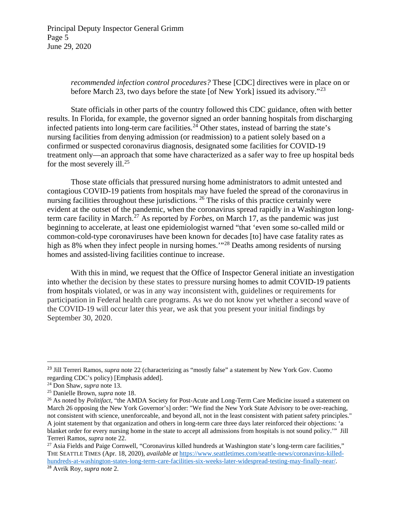Principal Deputy Inspector General Grimm Page 5 June 29, 2020

> *recommended infection control procedures?* These [CDC] directives were in place on or before March [23](#page-4-0), two days before the state [of New York] issued its advisory."<sup>23</sup>

State officials in other parts of the country followed this CDC guidance, often with better results. In Florida, for example, the governor signed an order banning hospitals from discharging infected patients into long-term care facilities.<sup>[24](#page-4-1)</sup> Other states, instead of barring the state's nursing facilities from denying admission (or readmission) to a patient solely based on a confirmed or suspected coronavirus diagnosis, designated some facilities for COVID-19 treatment only—an approach that some have characterized as a safer way to free up hospital beds for the most severely ill.<sup>[25](#page-4-2)</sup>

Those state officials that pressured nursing home administrators to admit untested and contagious COVID-19 patients from hospitals may have fueled the spread of the coronavirus in nursing facilities throughout these jurisdictions. <sup>[26](#page-4-3)</sup> The risks of this practice certainly were evident at the outset of the pandemic, when the coronavirus spread rapidly in a Washington longterm care facility in March.[27](#page-4-4) As reported by *Forbes*, on March 17, as the pandemic was just beginning to accelerate, at least one epidemiologist warned "that 'even some so-called mild or common-cold-type coronaviruses have been known for decades [to] have case fatality rates as high as 8% when they infect people in nursing homes.'"[28](#page-4-5) Deaths among residents of nursing homes and assisted-living facilities continue to increase.

With this in mind, we request that the Office of Inspector General initiate an investigation into whether the decision by these states to pressure nursing homes to admit COVID-19 patients from hospitals violated, or was in any way inconsistent with, guidelines or requirements for participation in Federal health care programs. As we do not know yet whether a second wave of the COVID-19 will occur later this year, we ask that you present your initial findings by September 30, 2020.

<span id="page-4-0"></span><sup>&</sup>lt;sup>23</sup> Jill Terreri Ramos, *supra* note 22 (characterizing as "mostly false" a statement by New York Gov. Cuomo regarding CDC's policy) [Emphasis added].

<span id="page-4-2"></span><span id="page-4-1"></span><sup>&</sup>lt;sup>24</sup> Don Shaw, *supra* note 13.<br><sup>25</sup> Danielle Brown, *supra* note 18.

<span id="page-4-3"></span><sup>&</sup>lt;sup>26</sup> As noted by *Politifact*, "the AMDA Society for Post-Acute and Long-Term Care Medicine issued a statement on March 26 opposing the New York Governor's] order: "We find the New York State Advisory to be over-reaching, not consistent with science, unenforceable, and beyond all, not in the least consistent with patient safety principles." A joint statement by that organization and others in long-term care three days later reinforced their objections: 'a blanket order for every nursing home in the state to accept all admissions from hospitals is not sound policy.'" Jill Terreri Ramos, *supra* note 22.

<span id="page-4-5"></span><span id="page-4-4"></span><sup>&</sup>lt;sup>27</sup> Asia Fields and Paige Cornwell, "Coronavirus killed hundreds at Washington state's long-term care facilities," THE SEATTLE TIMES (Apr. 18, 2020), *available at* [https://www.seattletimes.com/seattle-news/coronavirus-killed](https://www.seattletimes.com/seattle-news/coronavirus-killed-hundreds-at-washington-states-long-term-care-facilities-six-weeks-later-widespread-testing-may-finally-near/)[hundreds-at-washington-states-long-term-care-facilities-six-weeks-later-widespread-testing-may-finally-near/.](https://www.seattletimes.com/seattle-news/coronavirus-killed-hundreds-at-washington-states-long-term-care-facilities-six-weeks-later-widespread-testing-may-finally-near/) <sup>28</sup> Avrik Roy, *supra note* 2.